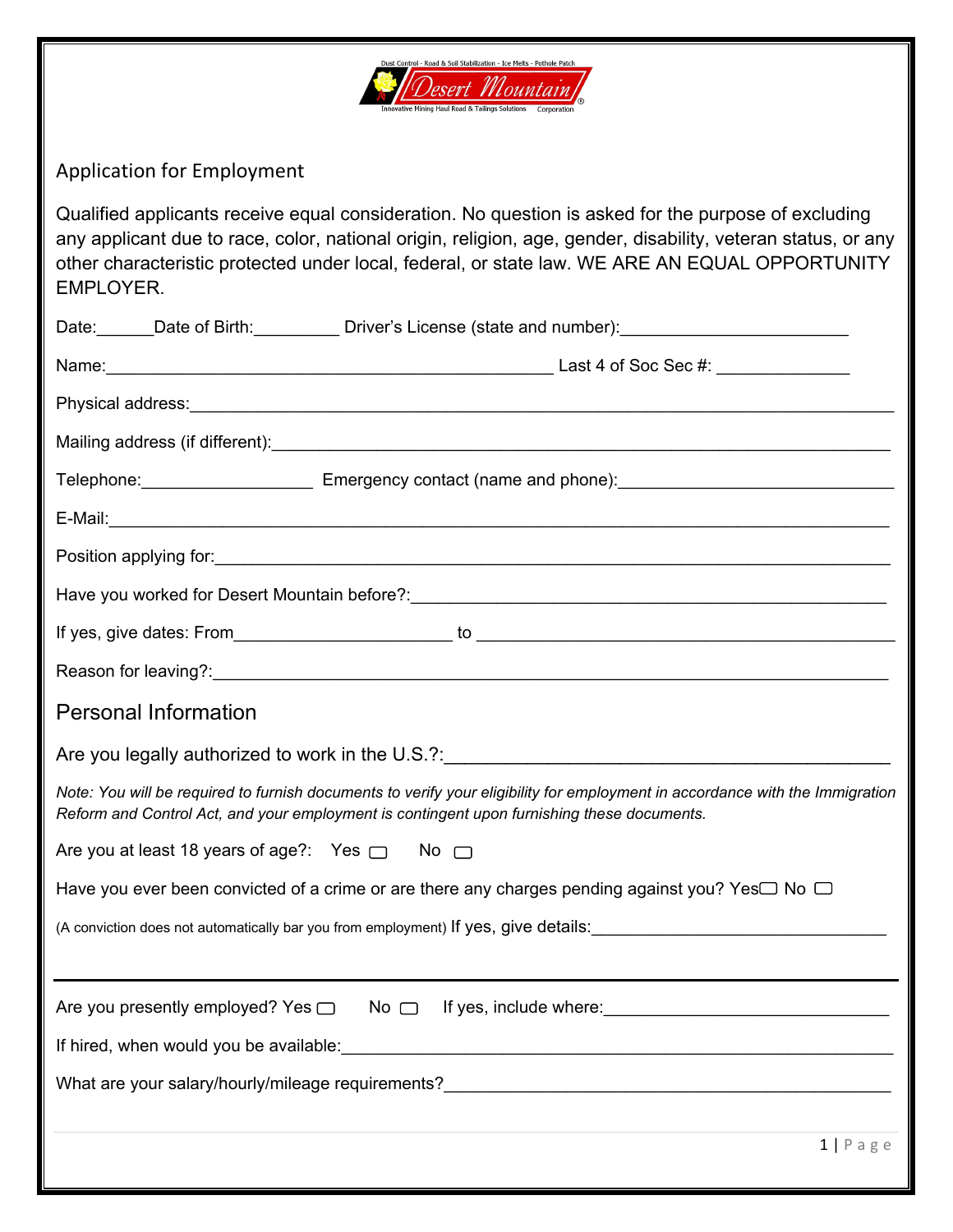

Application for Employment

Qualified applicants receive equal consideration. No question is asked for the purpose of excluding any applicant due to race, color, national origin, religion, age, gender, disability, veteran status, or any other characteristic protected under local, federal, or state law. WE ARE AN EQUAL OPPORTUNITY EMPLOYER.

|                                                         | Date: Date of Birth: Driver's License (state and number): Date: Driver Mate: Date: Date of Birth:                                                                                                                          |
|---------------------------------------------------------|----------------------------------------------------------------------------------------------------------------------------------------------------------------------------------------------------------------------------|
|                                                         |                                                                                                                                                                                                                            |
|                                                         |                                                                                                                                                                                                                            |
|                                                         |                                                                                                                                                                                                                            |
|                                                         |                                                                                                                                                                                                                            |
|                                                         |                                                                                                                                                                                                                            |
|                                                         |                                                                                                                                                                                                                            |
|                                                         | Have you worked for Desert Mountain before?: ___________________________________                                                                                                                                           |
|                                                         |                                                                                                                                                                                                                            |
|                                                         |                                                                                                                                                                                                                            |
| <b>Personal Information</b>                             |                                                                                                                                                                                                                            |
|                                                         |                                                                                                                                                                                                                            |
|                                                         | Note: You will be required to furnish documents to verify your eligibility for employment in accordance with the Immigration<br>Reform and Control Act, and your employment is contingent upon furnishing these documents. |
| Are you at least 18 years of age?: Yes $\Box$ No $\Box$ |                                                                                                                                                                                                                            |
|                                                         | Have you ever been convicted of a crime or are there any charges pending against you? Yes□ No □                                                                                                                            |
|                                                         | (A conviction does not automatically bar you from employment) If yes, give details:<br>Sale of the details:                                                                                                                |
|                                                         |                                                                                                                                                                                                                            |
|                                                         |                                                                                                                                                                                                                            |
|                                                         |                                                                                                                                                                                                                            |
|                                                         | What are your salary/hourly/mileage requirements?________________________________                                                                                                                                          |
|                                                         |                                                                                                                                                                                                                            |
|                                                         | $1   P \text{ a } g \text{ e}$                                                                                                                                                                                             |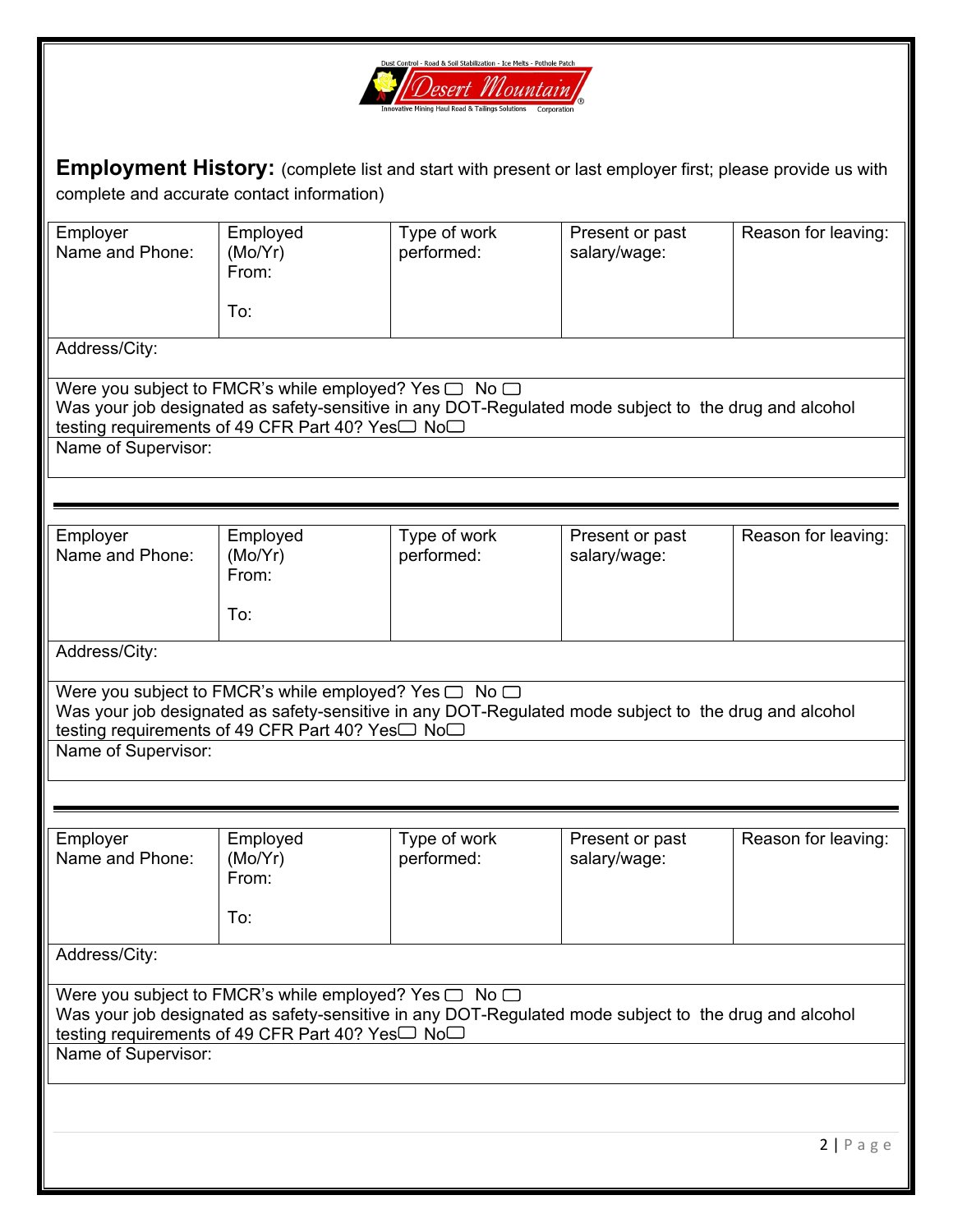

**Employment History:** (complete list and start with present or last employer first; please provide us with complete and accurate contact information)

| Employer            | Employed                                                                                              | Type of work | Present or past | Reason for leaving: |
|---------------------|-------------------------------------------------------------------------------------------------------|--------------|-----------------|---------------------|
| Name and Phone:     | (Mo/Yr)                                                                                               | performed:   | salary/wage:    |                     |
|                     | From:                                                                                                 |              |                 |                     |
|                     |                                                                                                       |              |                 |                     |
|                     |                                                                                                       |              |                 |                     |
|                     | To:                                                                                                   |              |                 |                     |
|                     |                                                                                                       |              |                 |                     |
| Address/City:       |                                                                                                       |              |                 |                     |
|                     |                                                                                                       |              |                 |                     |
|                     | Were you subject to FMCR's while employed? Yes $\Box$ No $\Box$                                       |              |                 |                     |
|                     | Was your job designated as safety-sensitive in any DOT-Regulated mode subject to the drug and alcohol |              |                 |                     |
|                     | testing requirements of 49 CFR Part 40? Yes□ No□                                                      |              |                 |                     |
|                     |                                                                                                       |              |                 |                     |
| Name of Supervisor: |                                                                                                       |              |                 |                     |
|                     |                                                                                                       |              |                 |                     |
|                     |                                                                                                       |              |                 |                     |
|                     |                                                                                                       |              |                 |                     |
|                     |                                                                                                       |              |                 |                     |
| Employer            | Employed                                                                                              | Type of work | Present or past | Reason for leaving: |
| Name and Phone:     | (Mo/Yr)                                                                                               | performed:   | salary/wage:    |                     |
|                     | From:                                                                                                 |              |                 |                     |
|                     |                                                                                                       |              |                 |                     |
|                     | To:                                                                                                   |              |                 |                     |
|                     |                                                                                                       |              |                 |                     |
| Address/City:       |                                                                                                       |              |                 |                     |
|                     |                                                                                                       |              |                 |                     |
|                     |                                                                                                       |              |                 |                     |
|                     | Were you subject to FMCR's while employed? Yes $\Box$ No $\Box$                                       |              |                 |                     |
|                     | Was your job designated as safety-sensitive in any DOT-Regulated mode subject to the drug and alcohol |              |                 |                     |
|                     | testing requirements of 49 CFR Part 40? Yes□ No□                                                      |              |                 |                     |
| Name of Supervisor: |                                                                                                       |              |                 |                     |
|                     |                                                                                                       |              |                 |                     |
|                     |                                                                                                       |              |                 |                     |
|                     |                                                                                                       |              |                 |                     |
|                     |                                                                                                       |              |                 |                     |
| Employer            | Employed                                                                                              | Type of work | Present or past | Reason for leaving: |
| Name and Phone:     | (Mo/Yr)                                                                                               | performed:   | salary/wage:    |                     |
|                     | From:                                                                                                 |              |                 |                     |
|                     |                                                                                                       |              |                 |                     |
|                     |                                                                                                       |              |                 |                     |
|                     | To:                                                                                                   |              |                 |                     |
|                     |                                                                                                       |              |                 |                     |
| Address/City:       |                                                                                                       |              |                 |                     |
|                     |                                                                                                       |              |                 |                     |
|                     | Were you subject to FMCR's while employed? Yes $\Box$ No $\Box$                                       |              |                 |                     |
|                     | Was your job designated as safety-sensitive in any DOT-Regulated mode subject to the drug and alcohol |              |                 |                     |
|                     |                                                                                                       |              |                 |                     |
|                     | testing requirements of 49 CFR Part 40? Yes <sup>1</sup> No                                           |              |                 |                     |
| Name of Supervisor: |                                                                                                       |              |                 |                     |
|                     |                                                                                                       |              |                 |                     |
|                     |                                                                                                       |              |                 |                     |
|                     |                                                                                                       |              |                 |                     |
|                     |                                                                                                       |              |                 |                     |
|                     |                                                                                                       |              |                 | 2 Page              |
|                     |                                                                                                       |              |                 |                     |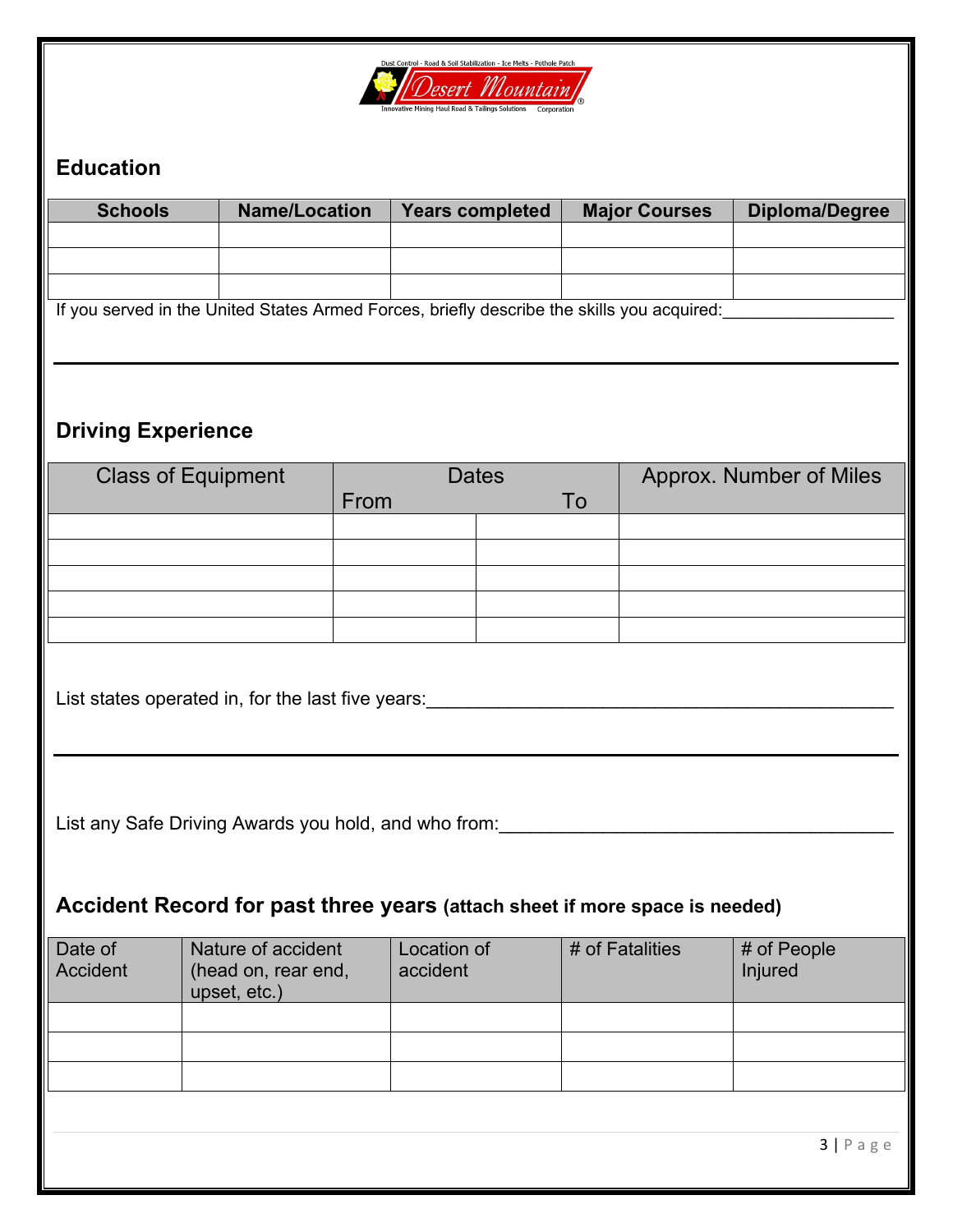

# **Education**

| <b>Schools</b>                                                                            | <b>Name/Location</b>                |      | <b>Years completed</b> |    | <b>Major Courses</b> | <b>Diploma/Degree</b>                                                                      |
|-------------------------------------------------------------------------------------------|-------------------------------------|------|------------------------|----|----------------------|--------------------------------------------------------------------------------------------|
|                                                                                           |                                     |      |                        |    |                      |                                                                                            |
|                                                                                           |                                     |      |                        |    |                      |                                                                                            |
|                                                                                           |                                     |      |                        |    |                      | If you served in the United States Armed Forces, briefly describe the skills you acquired: |
|                                                                                           |                                     |      |                        |    |                      |                                                                                            |
|                                                                                           |                                     |      |                        |    |                      |                                                                                            |
| <b>Driving Experience</b>                                                                 |                                     |      |                        |    |                      |                                                                                            |
| <b>Class of Equipment</b>                                                                 |                                     |      | <b>Dates</b>           |    |                      | Approx. Number of Miles                                                                    |
|                                                                                           |                                     | From |                        | To |                      |                                                                                            |
|                                                                                           |                                     |      |                        |    |                      |                                                                                            |
|                                                                                           |                                     |      |                        |    |                      |                                                                                            |
|                                                                                           |                                     |      |                        |    |                      |                                                                                            |
|                                                                                           |                                     |      |                        |    |                      |                                                                                            |
| List states operated in, for the last five years: ______________________________          |                                     |      |                        |    |                      |                                                                                            |
|                                                                                           |                                     |      |                        |    |                      |                                                                                            |
|                                                                                           |                                     |      |                        |    |                      |                                                                                            |
|                                                                                           |                                     |      |                        |    |                      |                                                                                            |
| List any Safe Driving Awards you hold, and who from: <b>Cambridge Controls and School</b> |                                     |      |                        |    |                      |                                                                                            |
|                                                                                           |                                     |      |                        |    |                      |                                                                                            |
| Accident Record for past three years (attach sheet if more space is needed)               |                                     |      |                        |    |                      |                                                                                            |
| Date of                                                                                   | Nature of accident                  |      | Location of            |    | # of Fatalities      | # of People                                                                                |
| <b>Accident</b>                                                                           | (head on, rear end,<br>upset, etc.) |      | accident               |    |                      | Injured                                                                                    |
|                                                                                           |                                     |      |                        |    |                      |                                                                                            |
|                                                                                           |                                     |      |                        |    |                      |                                                                                            |
|                                                                                           |                                     |      |                        |    |                      |                                                                                            |
|                                                                                           |                                     |      |                        |    |                      |                                                                                            |
|                                                                                           |                                     |      |                        |    |                      | $3   P \text{age}$                                                                         |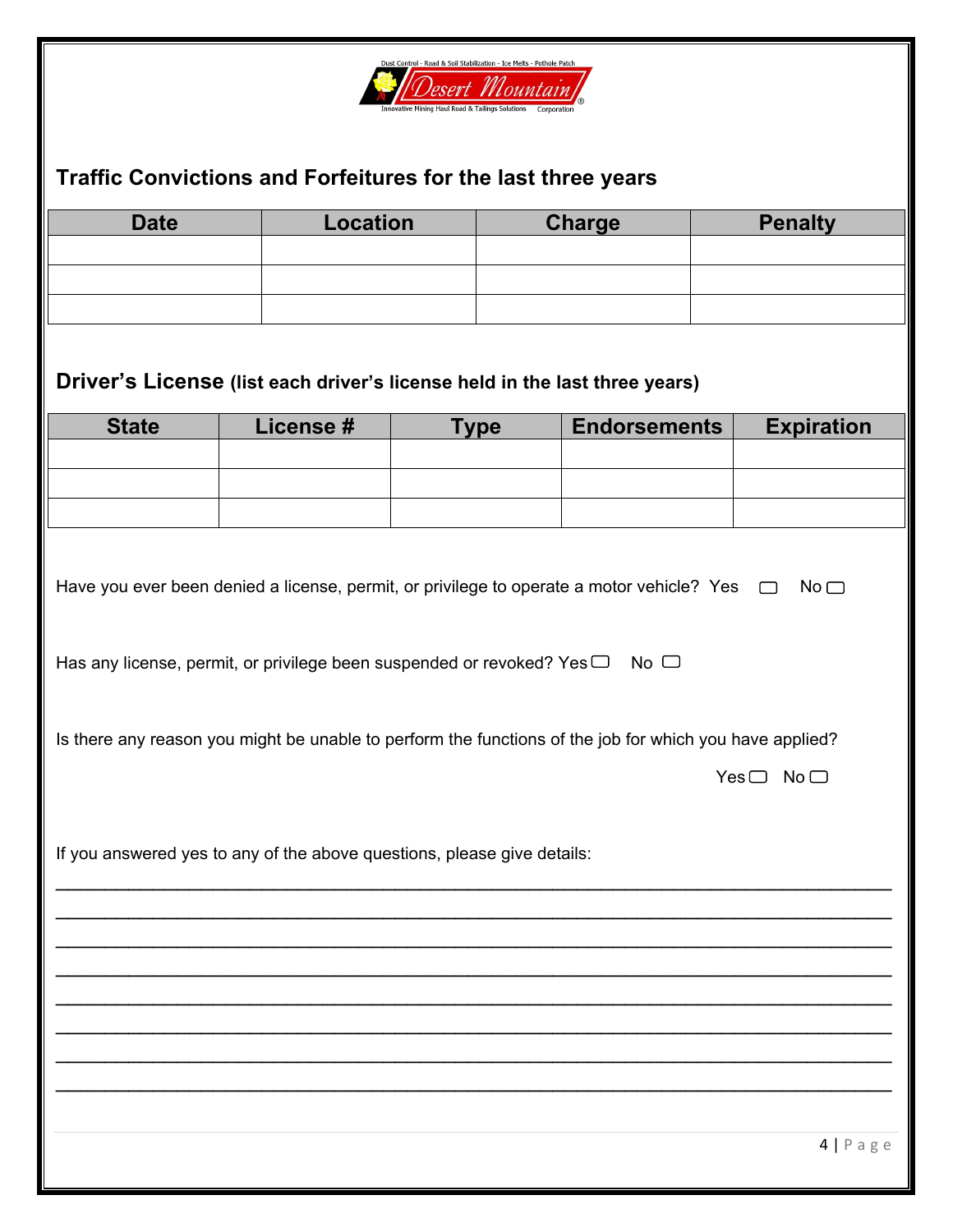

### **Traffic Convictions and Forfeitures for the last three years**

| <b>Date</b> | <b>Location</b> | <b>Charge</b> | <b>Penalty</b> |
|-------------|-----------------|---------------|----------------|
|             |                 |               |                |
|             |                 |               |                |
|             |                 |               |                |

## **Driver's License (list each driver's license held in the last three years)**

| <b>State</b> | License# | $T$ <sub>V</sub> pe | <b>Endorsements</b> | <b>Expiration</b> |
|--------------|----------|---------------------|---------------------|-------------------|
|              |          |                     |                     |                   |
|              |          |                     |                     |                   |
|              |          |                     |                     |                   |

| Have you ever been denied a license, permit, or privilege to operate a motor vehicle? Yes $\Box$ No $\Box$ |  |  |  |
|------------------------------------------------------------------------------------------------------------|--|--|--|

|  |  |  | Has any license, permit, or privilege been suspended or revoked? Yes $\Box$ No $\Box$ |  |
|--|--|--|---------------------------------------------------------------------------------------|--|
|  |  |  |                                                                                       |  |

\_\_\_\_\_\_\_\_\_\_\_\_\_\_\_\_\_\_\_\_\_\_\_\_\_\_\_\_\_\_\_\_\_\_\_\_\_\_\_\_\_\_\_\_\_\_\_\_\_\_\_\_\_\_\_\_\_\_\_\_\_\_\_\_\_\_\_\_\_

\_\_\_\_\_\_\_\_\_\_\_\_\_\_\_\_\_\_\_\_\_\_\_\_\_\_\_\_\_\_\_\_\_\_\_\_\_\_\_\_\_\_\_\_\_\_\_\_\_\_\_\_\_\_\_\_\_\_\_\_\_\_\_\_\_\_\_\_\_

\_\_\_\_\_\_\_\_\_\_\_\_\_\_\_\_\_\_\_\_\_\_\_\_\_\_\_\_\_\_\_\_\_\_\_\_\_\_\_\_\_\_\_\_\_\_\_\_\_\_\_\_\_\_\_\_\_\_\_\_\_\_\_\_\_\_\_\_\_

Is there any reason you might be unable to perform the functions of the job for which you have applied?

\_\_\_\_\_\_\_\_\_\_\_\_\_\_\_\_\_\_\_\_\_\_\_\_\_\_\_\_\_\_\_\_\_\_\_\_\_\_\_\_\_\_\_\_\_\_\_\_\_\_\_\_\_\_\_\_\_\_\_\_\_\_\_\_\_\_\_\_\_ \_\_\_\_\_\_\_\_\_\_\_\_\_\_\_\_\_\_\_\_\_\_\_\_\_\_\_\_\_\_\_\_\_\_\_\_\_\_\_\_\_\_\_\_\_\_\_\_\_\_\_\_\_\_\_\_\_\_\_\_\_\_\_\_\_\_\_\_\_

\_\_\_\_\_\_\_\_\_\_\_\_\_\_\_\_\_\_\_\_\_\_\_\_\_\_\_\_\_\_\_\_\_\_\_\_\_\_\_\_\_\_\_\_\_\_\_\_\_\_\_\_\_\_\_\_\_\_\_\_\_\_\_\_\_\_\_\_\_ \_\_\_\_\_\_\_\_\_\_\_\_\_\_\_\_\_\_\_\_\_\_\_\_\_\_\_\_\_\_\_\_\_\_\_\_\_\_\_\_\_\_\_\_\_\_\_\_\_\_\_\_\_\_\_\_\_\_\_\_\_\_\_\_\_\_\_\_\_ \_\_\_\_\_\_\_\_\_\_\_\_\_\_\_\_\_\_\_\_\_\_\_\_\_\_\_\_\_\_\_\_\_\_\_\_\_\_\_\_\_\_\_\_\_\_\_\_\_\_\_\_\_\_\_\_\_\_\_\_\_\_\_\_\_\_\_\_\_

 $Yes \Box No \Box$ 

If you answered yes to any of the above questions, please give details: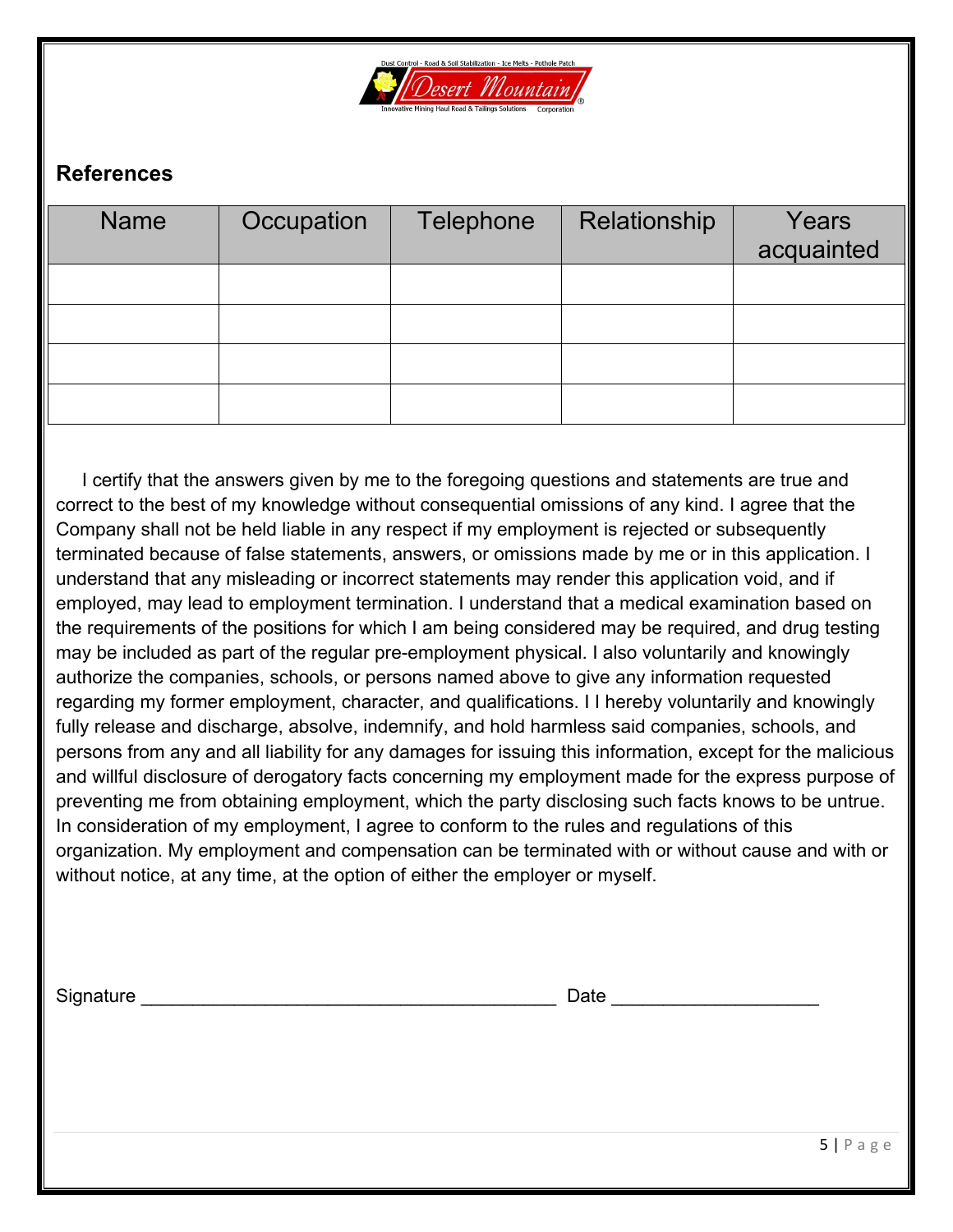

### **References**

| <b>Name</b> | Occupation | <b>Telephone</b> | Relationship | Years<br>acquainted |
|-------------|------------|------------------|--------------|---------------------|
|             |            |                  |              |                     |
|             |            |                  |              |                     |
|             |            |                  |              |                     |
|             |            |                  |              |                     |

 I certify that the answers given by me to the foregoing questions and statements are true and correct to the best of my knowledge without consequential omissions of any kind. I agree that the Company shall not be held liable in any respect if my employment is rejected or subsequently terminated because of false statements, answers, or omissions made by me or in this application. I understand that any misleading or incorrect statements may render this application void, and if employed, may lead to employment termination. I understand that a medical examination based on the requirements of the positions for which I am being considered may be required, and drug testing may be included as part of the regular pre-employment physical. I also voluntarily and knowingly authorize the companies, schools, or persons named above to give any information requested regarding my former employment, character, and qualifications. I I hereby voluntarily and knowingly fully release and discharge, absolve, indemnify, and hold harmless said companies, schools, and persons from any and all liability for any damages for issuing this information, except for the malicious and willful disclosure of derogatory facts concerning my employment made for the express purpose of preventing me from obtaining employment, which the party disclosing such facts knows to be untrue. In consideration of my employment, I agree to conform to the rules and regulations of this organization. My employment and compensation can be terminated with or without cause and with or without notice, at any time, at the option of either the employer or myself.

| Signature | Date |  |
|-----------|------|--|
|           |      |  |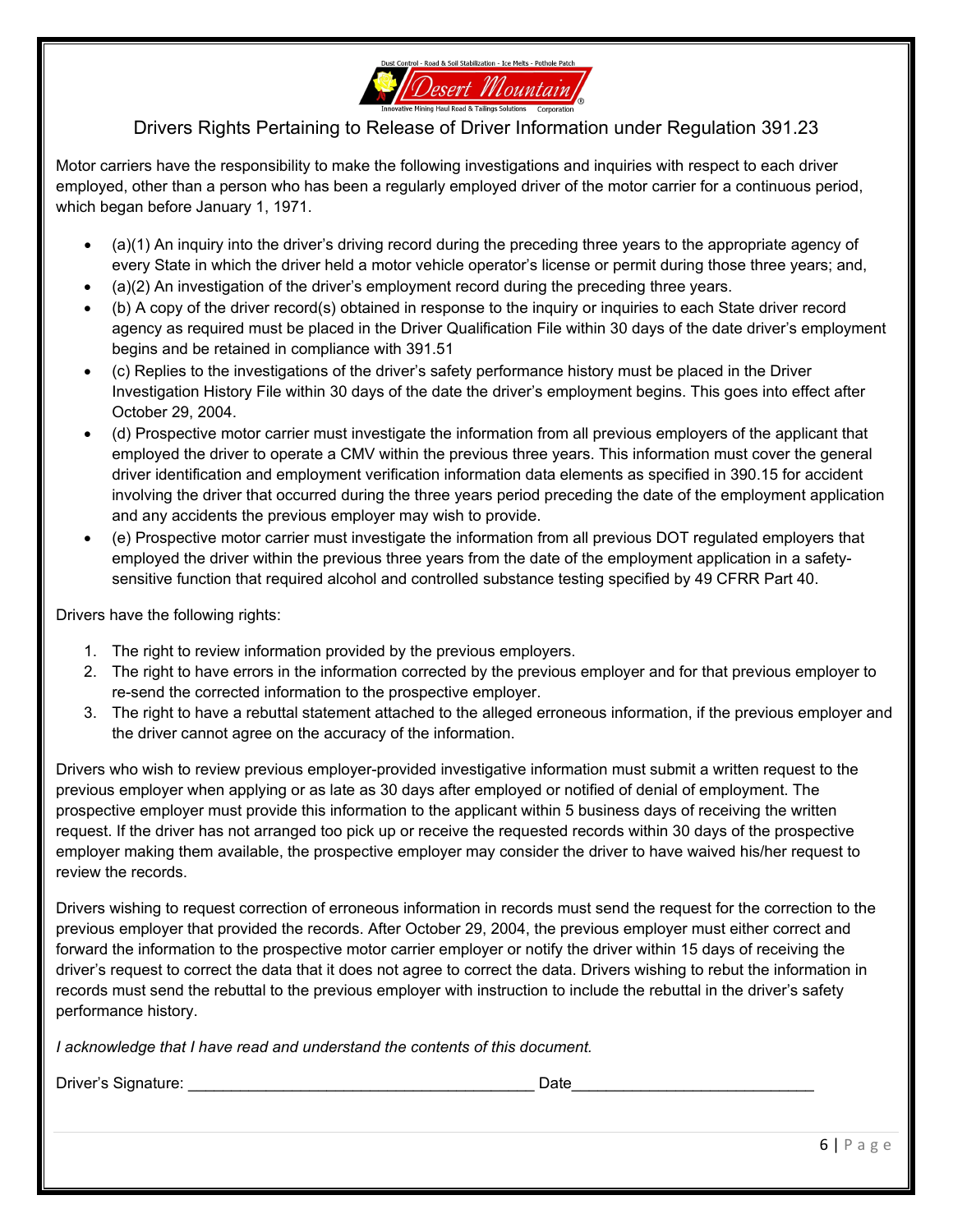

#### Drivers Rights Pertaining to Release of Driver Information under Regulation 391.23

Motor carriers have the responsibility to make the following investigations and inquiries with respect to each driver employed, other than a person who has been a regularly employed driver of the motor carrier for a continuous period, which began before January 1, 1971.

- (a)(1) An inquiry into the driver's driving record during the preceding three years to the appropriate agency of every State in which the driver held a motor vehicle operator's license or permit during those three years; and,
- (a)(2) An investigation of the driver's employment record during the preceding three years.
- (b) A copy of the driver record(s) obtained in response to the inquiry or inquiries to each State driver record agency as required must be placed in the Driver Qualification File within 30 days of the date driver's employment begins and be retained in compliance with 391.51
- (c) Replies to the investigations of the driver's safety performance history must be placed in the Driver Investigation History File within 30 days of the date the driver's employment begins. This goes into effect after October 29, 2004.
- (d) Prospective motor carrier must investigate the information from all previous employers of the applicant that employed the driver to operate a CMV within the previous three years. This information must cover the general driver identification and employment verification information data elements as specified in 390.15 for accident involving the driver that occurred during the three years period preceding the date of the employment application and any accidents the previous employer may wish to provide.
- (e) Prospective motor carrier must investigate the information from all previous DOT regulated employers that employed the driver within the previous three years from the date of the employment application in a safetysensitive function that required alcohol and controlled substance testing specified by 49 CFRR Part 40.

Drivers have the following rights:

- 1. The right to review information provided by the previous employers.
- 2. The right to have errors in the information corrected by the previous employer and for that previous employer to re-send the corrected information to the prospective employer.
- 3. The right to have a rebuttal statement attached to the alleged erroneous information, if the previous employer and the driver cannot agree on the accuracy of the information.

Drivers who wish to review previous employer-provided investigative information must submit a written request to the previous employer when applying or as late as 30 days after employed or notified of denial of employment. The prospective employer must provide this information to the applicant within 5 business days of receiving the written request. If the driver has not arranged too pick up or receive the requested records within 30 days of the prospective employer making them available, the prospective employer may consider the driver to have waived his/her request to review the records.

Drivers wishing to request correction of erroneous information in records must send the request for the correction to the previous employer that provided the records. After October 29, 2004, the previous employer must either correct and forward the information to the prospective motor carrier employer or notify the driver within 15 days of receiving the driver's request to correct the data that it does not agree to correct the data. Drivers wishing to rebut the information in records must send the rebuttal to the previous employer with instruction to include the rebuttal in the driver's safety performance history.

*I acknowledge that I have read and understand the contents of this document.* 

Driver's Signature: \_\_\_\_\_\_\_\_\_\_\_\_\_\_\_\_\_\_\_\_\_\_\_\_\_\_\_\_\_\_\_\_\_\_\_\_\_\_\_\_ Date\_\_\_\_\_\_\_\_\_\_\_\_\_\_\_\_\_\_\_\_\_\_\_\_\_\_\_\_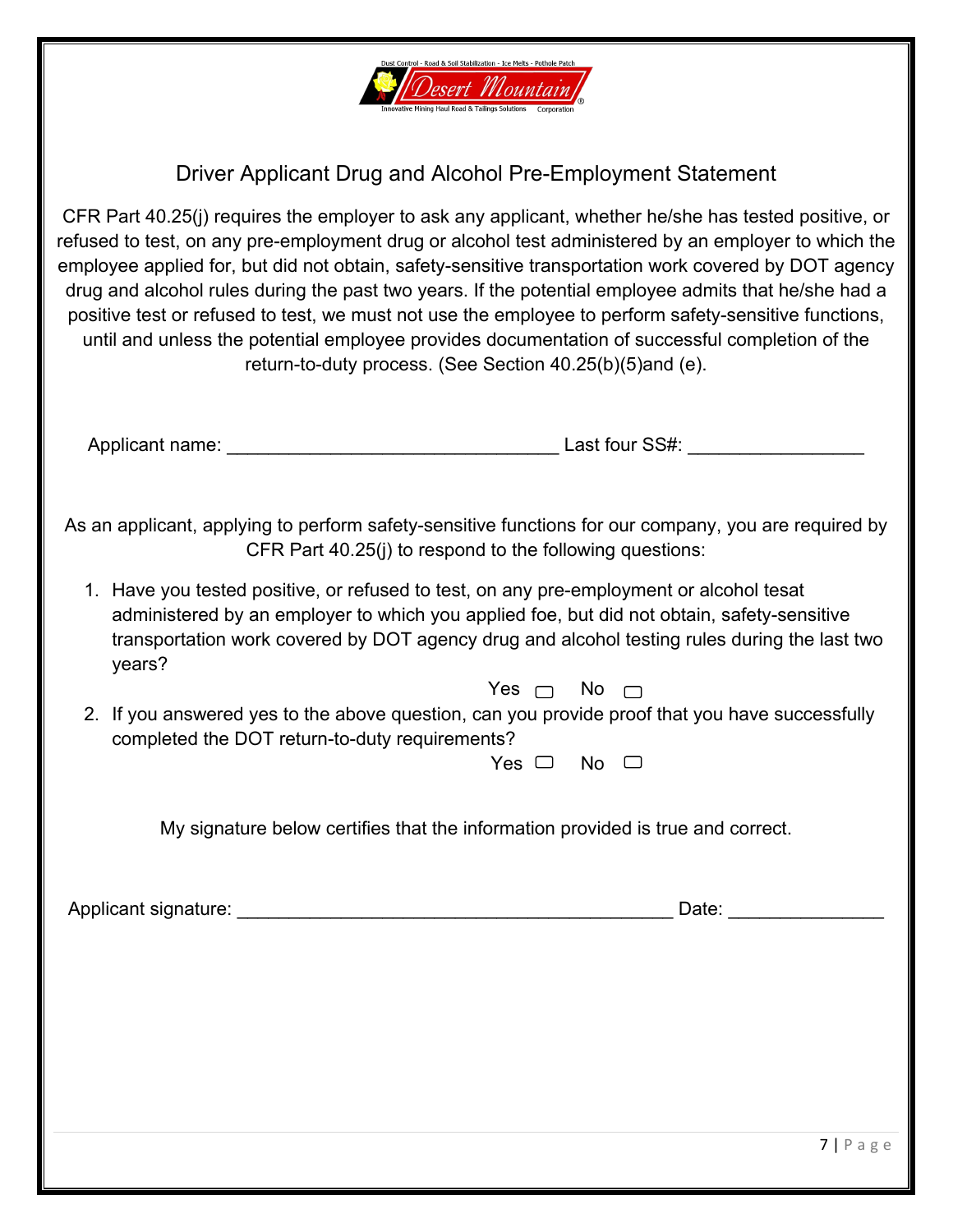

Driver Applicant Drug and Alcohol Pre-Employment Statement

CFR Part 40.25(j) requires the employer to ask any applicant, whether he/she has tested positive, or refused to test, on any pre-employment drug or alcohol test administered by an employer to which the employee applied for, but did not obtain, safety-sensitive transportation work covered by DOT agency drug and alcohol rules during the past two years. If the potential employee admits that he/she had a positive test or refused to test, we must not use the employee to perform safety-sensitive functions, until and unless the potential employee provides documentation of successful completion of the return-to-duty process. (See Section 40.25(b)(5)and (e).

Applicant name: \_\_\_\_\_\_\_\_\_\_\_\_\_\_\_\_\_\_\_\_\_\_\_\_\_\_\_\_\_\_\_\_ Last four SS#: \_\_\_\_\_\_\_\_\_\_\_\_\_\_\_\_\_

As an applicant, applying to perform safety-sensitive functions for our company, you are required by CFR Part 40.25(j) to respond to the following questions:

- 1. Have you tested positive, or refused to test, on any pre-employment or alcohol tesat administered by an employer to which you applied foe, but did not obtain, safety-sensitive transportation work covered by DOT agency drug and alcohol testing rules during the last two years?
	- Yes  $\Box$  No  $\Box$
- 2. If you answered yes to the above question, can you provide proof that you have successfully completed the DOT return-to-duty requirements?

Yes  $\Box$  No  $\Box$ 

My signature below certifies that the information provided is true and correct.

Applicant signature: etc. Applicant signature: etc. Applicant signature: etc. Applicant signature: etc. Applicant signature: etc. Applicant signature: etc. Applicant signature: etc. Applicant signature: etc. Applicant sign